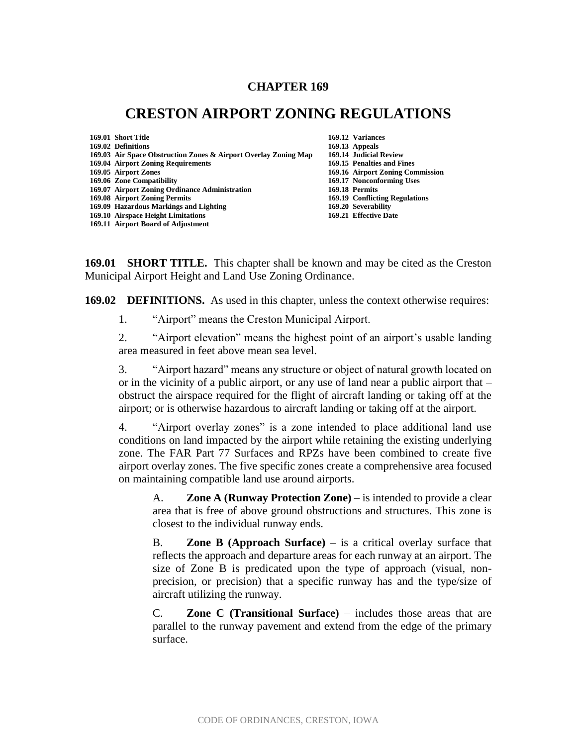# **CHAPTER 169**

# **CRESTON AIRPORT ZONING REGULATIONS**

| 169.01 Short Title                                              | 169.12 Variances                 |
|-----------------------------------------------------------------|----------------------------------|
| 169.02 Definitions                                              | 169.13 Appeals                   |
| 169.03 Air Space Obstruction Zones & Airport Overlay Zoning Map | 169.14 Judicial Review           |
| 169.04 Airport Zoning Requirements                              | 169.15 Penalties and Fines       |
| 169.05 Airport Zones                                            | 169.16 Airport Zoning Commission |
| 169.06 Zone Compatibility                                       | 169.17 Nonconforming Uses        |
| 169.07 Airport Zoning Ordinance Administration                  | 169.18 Permits                   |
| 169.08 Airport Zoning Permits                                   | 169.19 Conflicting Regulations   |
| 169.09 Hazardous Markings and Lighting                          | 169.20 Severability              |
| 169.10 Airspace Height Limitations                              | 169.21 Effective Date            |
| 169.11 Airport Board of Adjustment                              |                                  |

**169.01 SHORT TITLE.** This chapter shall be known and may be cited as the Creston Municipal Airport Height and Land Use Zoning Ordinance.

**169.02 DEFINITIONS.** As used in this chapter, unless the context otherwise requires:

1. "Airport" means the Creston Municipal Airport.

2. "Airport elevation" means the highest point of an airport's usable landing area measured in feet above mean sea level.

3. "Airport hazard" means any structure or object of natural growth located on or in the vicinity of a public airport, or any use of land near a public airport that – obstruct the airspace required for the flight of aircraft landing or taking off at the airport; or is otherwise hazardous to aircraft landing or taking off at the airport.

4. "Airport overlay zones" is a zone intended to place additional land use conditions on land impacted by the airport while retaining the existing underlying zone. The FAR Part 77 Surfaces and RPZs have been combined to create five airport overlay zones. The five specific zones create a comprehensive area focused on maintaining compatible land use around airports.

A. **Zone A (Runway Protection Zone)** – is intended to provide a clear area that is free of above ground obstructions and structures. This zone is closest to the individual runway ends.

B. **Zone B (Approach Surface)** – is a critical overlay surface that reflects the approach and departure areas for each runway at an airport. The size of Zone B is predicated upon the type of approach (visual, nonprecision, or precision) that a specific runway has and the type/size of aircraft utilizing the runway.

C. **Zone C (Transitional Surface)** – includes those areas that are parallel to the runway pavement and extend from the edge of the primary surface.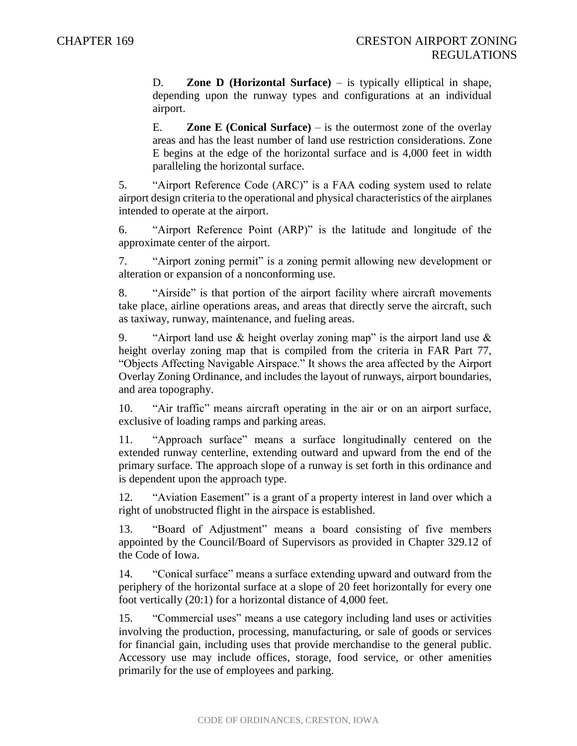D. **Zone D (Horizontal Surface)** – is typically elliptical in shape, depending upon the runway types and configurations at an individual airport.

E. **Zone E (Conical Surface)** – is the outermost zone of the overlay areas and has the least number of land use restriction considerations. Zone E begins at the edge of the horizontal surface and is 4,000 feet in width paralleling the horizontal surface.

5. "Airport Reference Code (ARC)" is a FAA coding system used to relate airport design criteria to the operational and physical characteristics of the airplanes intended to operate at the airport.

6. "Airport Reference Point (ARP)" is the latitude and longitude of the approximate center of the airport.

7. "Airport zoning permit" is a zoning permit allowing new development or alteration or expansion of a nonconforming use.

8. "Airside" is that portion of the airport facility where aircraft movements take place, airline operations areas, and areas that directly serve the aircraft, such as taxiway, runway, maintenance, and fueling areas.

9. "Airport land use  $\&$  height overlay zoning map" is the airport land use  $\&$ height overlay zoning map that is compiled from the criteria in FAR Part 77, "Objects Affecting Navigable Airspace." It shows the area affected by the Airport Overlay Zoning Ordinance, and includes the layout of runways, airport boundaries, and area topography.

10. "Air traffic" means aircraft operating in the air or on an airport surface, exclusive of loading ramps and parking areas.

11. "Approach surface" means a surface longitudinally centered on the extended runway centerline, extending outward and upward from the end of the primary surface. The approach slope of a runway is set forth in this ordinance and is dependent upon the approach type.

12. "Aviation Easement" is a grant of a property interest in land over which a right of unobstructed flight in the airspace is established.

13. "Board of Adjustment" means a board consisting of five members appointed by the Council/Board of Supervisors as provided in Chapter 329.12 of the Code of Iowa.

14. "Conical surface" means a surface extending upward and outward from the periphery of the horizontal surface at a slope of 20 feet horizontally for every one foot vertically (20:1) for a horizontal distance of 4,000 feet.

15. "Commercial uses" means a use category including land uses or activities involving the production, processing, manufacturing, or sale of goods or services for financial gain, including uses that provide merchandise to the general public. Accessory use may include offices, storage, food service, or other amenities primarily for the use of employees and parking.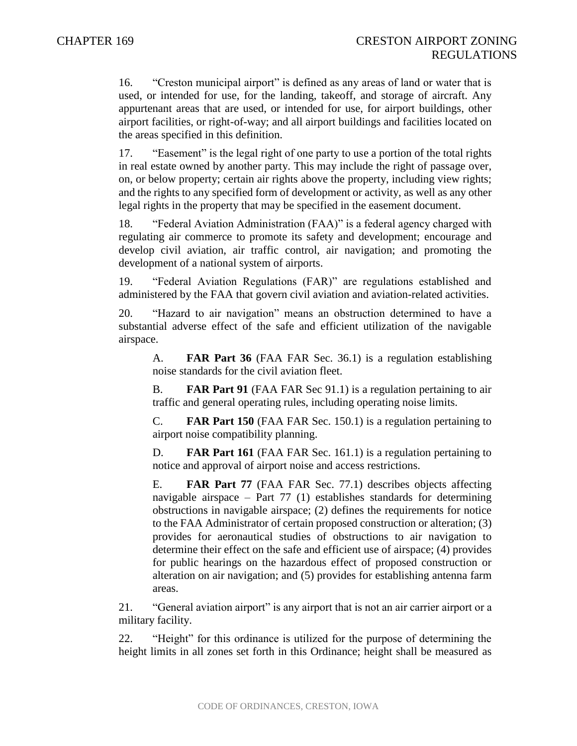16. "Creston municipal airport" is defined as any areas of land or water that is used, or intended for use, for the landing, takeoff, and storage of aircraft. Any appurtenant areas that are used, or intended for use, for airport buildings, other airport facilities, or right-of-way; and all airport buildings and facilities located on the areas specified in this definition.

17. "Easement" is the legal right of one party to use a portion of the total rights in real estate owned by another party. This may include the right of passage over, on, or below property; certain air rights above the property, including view rights; and the rights to any specified form of development or activity, as well as any other legal rights in the property that may be specified in the easement document.

18. "Federal Aviation Administration (FAA)" is a federal agency charged with regulating air commerce to promote its safety and development; encourage and develop civil aviation, air traffic control, air navigation; and promoting the development of a national system of airports.

19. "Federal Aviation Regulations (FAR)" are regulations established and administered by the FAA that govern civil aviation and aviation-related activities.

20. "Hazard to air navigation" means an obstruction determined to have a substantial adverse effect of the safe and efficient utilization of the navigable airspace.

A. **FAR Part 36** (FAA FAR Sec. 36.1) is a regulation establishing noise standards for the civil aviation fleet.

B. **FAR Part 91** (FAA FAR Sec 91.1) is a regulation pertaining to air traffic and general operating rules, including operating noise limits.

C. **FAR Part 150** (FAA FAR Sec. 150.1) is a regulation pertaining to airport noise compatibility planning.

D. **FAR Part 161** (FAA FAR Sec. 161.1) is a regulation pertaining to notice and approval of airport noise and access restrictions.

E. **FAR Part 77** (FAA FAR Sec. 77.1) describes objects affecting navigable airspace – Part 77 (1) establishes standards for determining obstructions in navigable airspace; (2) defines the requirements for notice to the FAA Administrator of certain proposed construction or alteration; (3) provides for aeronautical studies of obstructions to air navigation to determine their effect on the safe and efficient use of airspace; (4) provides for public hearings on the hazardous effect of proposed construction or alteration on air navigation; and (5) provides for establishing antenna farm areas.

21. "General aviation airport" is any airport that is not an air carrier airport or a military facility.

22. "Height" for this ordinance is utilized for the purpose of determining the height limits in all zones set forth in this Ordinance; height shall be measured as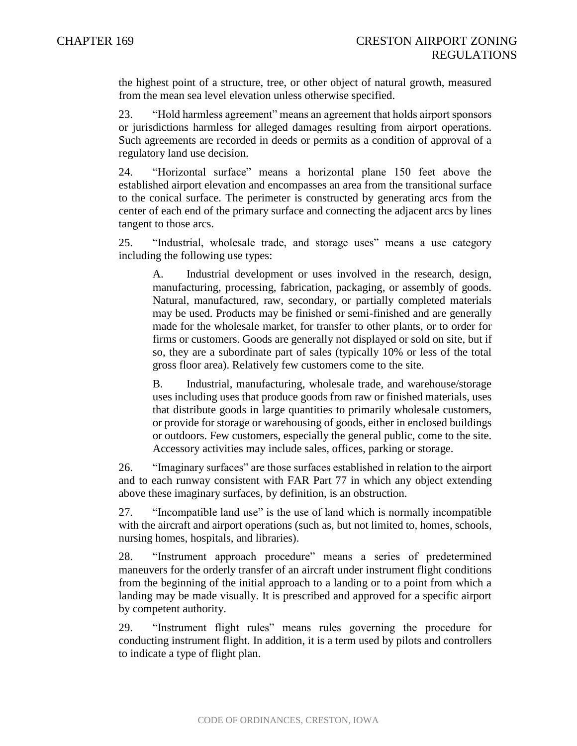the highest point of a structure, tree, or other object of natural growth, measured from the mean sea level elevation unless otherwise specified.

23. "Hold harmless agreement" means an agreement that holds airport sponsors or jurisdictions harmless for alleged damages resulting from airport operations. Such agreements are recorded in deeds or permits as a condition of approval of a regulatory land use decision.

24. "Horizontal surface" means a horizontal plane 150 feet above the established airport elevation and encompasses an area from the transitional surface to the conical surface. The perimeter is constructed by generating arcs from the center of each end of the primary surface and connecting the adjacent arcs by lines tangent to those arcs.

25. "Industrial, wholesale trade, and storage uses" means a use category including the following use types:

A. Industrial development or uses involved in the research, design, manufacturing, processing, fabrication, packaging, or assembly of goods. Natural, manufactured, raw, secondary, or partially completed materials may be used. Products may be finished or semi-finished and are generally made for the wholesale market, for transfer to other plants, or to order for firms or customers. Goods are generally not displayed or sold on site, but if so, they are a subordinate part of sales (typically 10% or less of the total gross floor area). Relatively few customers come to the site.

B. Industrial, manufacturing, wholesale trade, and warehouse/storage uses including uses that produce goods from raw or finished materials, uses that distribute goods in large quantities to primarily wholesale customers, or provide for storage or warehousing of goods, either in enclosed buildings or outdoors. Few customers, especially the general public, come to the site. Accessory activities may include sales, offices, parking or storage.

26. "Imaginary surfaces" are those surfaces established in relation to the airport and to each runway consistent with FAR Part 77 in which any object extending above these imaginary surfaces, by definition, is an obstruction.

27. "Incompatible land use" is the use of land which is normally incompatible with the aircraft and airport operations (such as, but not limited to, homes, schools, nursing homes, hospitals, and libraries).

28. "Instrument approach procedure" means a series of predetermined maneuvers for the orderly transfer of an aircraft under instrument flight conditions from the beginning of the initial approach to a landing or to a point from which a landing may be made visually. It is prescribed and approved for a specific airport by competent authority.

29. "Instrument flight rules" means rules governing the procedure for conducting instrument flight. In addition, it is a term used by pilots and controllers to indicate a type of flight plan.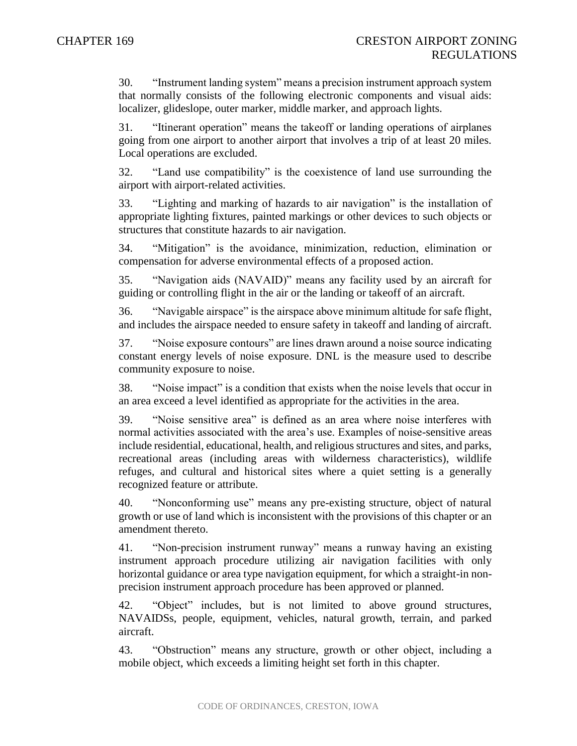30. "Instrument landing system" means a precision instrument approach system that normally consists of the following electronic components and visual aids: localizer, glideslope, outer marker, middle marker, and approach lights.

31. "Itinerant operation" means the takeoff or landing operations of airplanes going from one airport to another airport that involves a trip of at least 20 miles. Local operations are excluded.

32. "Land use compatibility" is the coexistence of land use surrounding the airport with airport-related activities.

33. "Lighting and marking of hazards to air navigation" is the installation of appropriate lighting fixtures, painted markings or other devices to such objects or structures that constitute hazards to air navigation.

34. "Mitigation" is the avoidance, minimization, reduction, elimination or compensation for adverse environmental effects of a proposed action.

35. "Navigation aids (NAVAID)" means any facility used by an aircraft for guiding or controlling flight in the air or the landing or takeoff of an aircraft.

36. "Navigable airspace" is the airspace above minimum altitude for safe flight, and includes the airspace needed to ensure safety in takeoff and landing of aircraft.

37. "Noise exposure contours" are lines drawn around a noise source indicating constant energy levels of noise exposure. DNL is the measure used to describe community exposure to noise.

38. "Noise impact" is a condition that exists when the noise levels that occur in an area exceed a level identified as appropriate for the activities in the area.

39. "Noise sensitive area" is defined as an area where noise interferes with normal activities associated with the area's use. Examples of noise-sensitive areas include residential, educational, health, and religious structures and sites, and parks, recreational areas (including areas with wilderness characteristics), wildlife refuges, and cultural and historical sites where a quiet setting is a generally recognized feature or attribute.

40. "Nonconforming use" means any pre-existing structure, object of natural growth or use of land which is inconsistent with the provisions of this chapter or an amendment thereto.

41. "Non-precision instrument runway" means a runway having an existing instrument approach procedure utilizing air navigation facilities with only horizontal guidance or area type navigation equipment, for which a straight-in nonprecision instrument approach procedure has been approved or planned.

42. "Object" includes, but is not limited to above ground structures, NAVAIDSs, people, equipment, vehicles, natural growth, terrain, and parked aircraft.

43. "Obstruction" means any structure, growth or other object, including a mobile object, which exceeds a limiting height set forth in this chapter.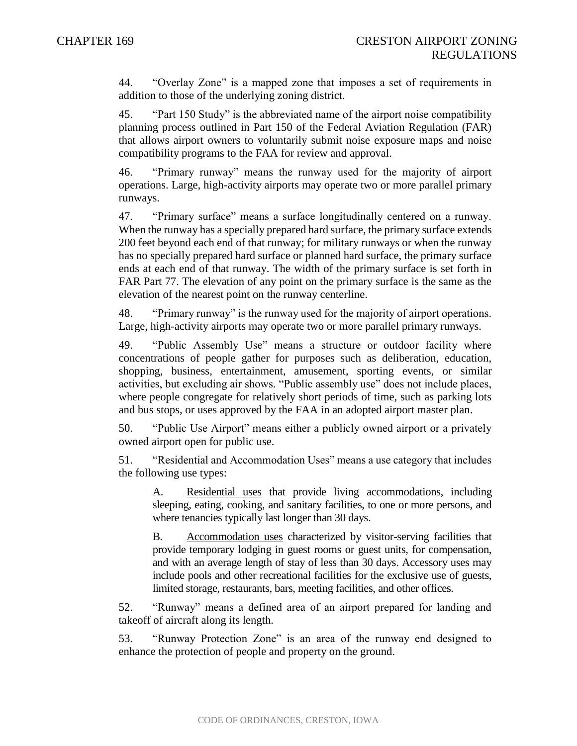44. "Overlay Zone" is a mapped zone that imposes a set of requirements in addition to those of the underlying zoning district.

45. "Part 150 Study" is the abbreviated name of the airport noise compatibility planning process outlined in Part 150 of the Federal Aviation Regulation (FAR) that allows airport owners to voluntarily submit noise exposure maps and noise compatibility programs to the FAA for review and approval.

46. "Primary runway" means the runway used for the majority of airport operations. Large, high-activity airports may operate two or more parallel primary runways.

47. "Primary surface" means a surface longitudinally centered on a runway. When the runway has a specially prepared hard surface, the primary surface extends 200 feet beyond each end of that runway; for military runways or when the runway has no specially prepared hard surface or planned hard surface, the primary surface ends at each end of that runway. The width of the primary surface is set forth in FAR Part 77. The elevation of any point on the primary surface is the same as the elevation of the nearest point on the runway centerline.

48. "Primary runway" is the runway used for the majority of airport operations. Large, high-activity airports may operate two or more parallel primary runways.

49. "Public Assembly Use" means a structure or outdoor facility where concentrations of people gather for purposes such as deliberation, education, shopping, business, entertainment, amusement, sporting events, or similar activities, but excluding air shows. "Public assembly use" does not include places, where people congregate for relatively short periods of time, such as parking lots and bus stops, or uses approved by the FAA in an adopted airport master plan.

50. "Public Use Airport" means either a publicly owned airport or a privately owned airport open for public use.

51. "Residential and Accommodation Uses" means a use category that includes the following use types:

A. Residential uses that provide living accommodations, including sleeping, eating, cooking, and sanitary facilities, to one or more persons, and where tenancies typically last longer than 30 days.

B. Accommodation uses characterized by visitor-serving facilities that provide temporary lodging in guest rooms or guest units, for compensation, and with an average length of stay of less than 30 days. Accessory uses may include pools and other recreational facilities for the exclusive use of guests, limited storage, restaurants, bars, meeting facilities, and other offices.

52. "Runway" means a defined area of an airport prepared for landing and takeoff of aircraft along its length.

53. "Runway Protection Zone" is an area of the runway end designed to enhance the protection of people and property on the ground.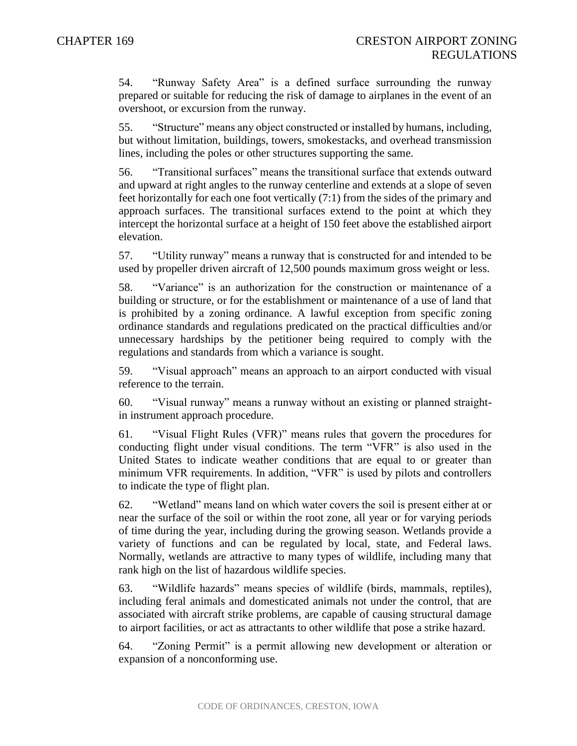54. "Runway Safety Area" is a defined surface surrounding the runway prepared or suitable for reducing the risk of damage to airplanes in the event of an overshoot, or excursion from the runway.

55. "Structure" means any object constructed or installed by humans, including, but without limitation, buildings, towers, smokestacks, and overhead transmission lines, including the poles or other structures supporting the same.

56. "Transitional surfaces" means the transitional surface that extends outward and upward at right angles to the runway centerline and extends at a slope of seven feet horizontally for each one foot vertically (7:1) from the sides of the primary and approach surfaces. The transitional surfaces extend to the point at which they intercept the horizontal surface at a height of 150 feet above the established airport elevation.

57. "Utility runway" means a runway that is constructed for and intended to be used by propeller driven aircraft of 12,500 pounds maximum gross weight or less.

58. "Variance" is an authorization for the construction or maintenance of a building or structure, or for the establishment or maintenance of a use of land that is prohibited by a zoning ordinance. A lawful exception from specific zoning ordinance standards and regulations predicated on the practical difficulties and/or unnecessary hardships by the petitioner being required to comply with the regulations and standards from which a variance is sought.

59. "Visual approach" means an approach to an airport conducted with visual reference to the terrain.

60. "Visual runway" means a runway without an existing or planned straightin instrument approach procedure.

61. "Visual Flight Rules (VFR)" means rules that govern the procedures for conducting flight under visual conditions. The term "VFR" is also used in the United States to indicate weather conditions that are equal to or greater than minimum VFR requirements. In addition, "VFR" is used by pilots and controllers to indicate the type of flight plan.

62. "Wetland" means land on which water covers the soil is present either at or near the surface of the soil or within the root zone, all year or for varying periods of time during the year, including during the growing season. Wetlands provide a variety of functions and can be regulated by local, state, and Federal laws. Normally, wetlands are attractive to many types of wildlife, including many that rank high on the list of hazardous wildlife species.

63. "Wildlife hazards" means species of wildlife (birds, mammals, reptiles), including feral animals and domesticated animals not under the control, that are associated with aircraft strike problems, are capable of causing structural damage to airport facilities, or act as attractants to other wildlife that pose a strike hazard.

64. "Zoning Permit" is a permit allowing new development or alteration or expansion of a nonconforming use.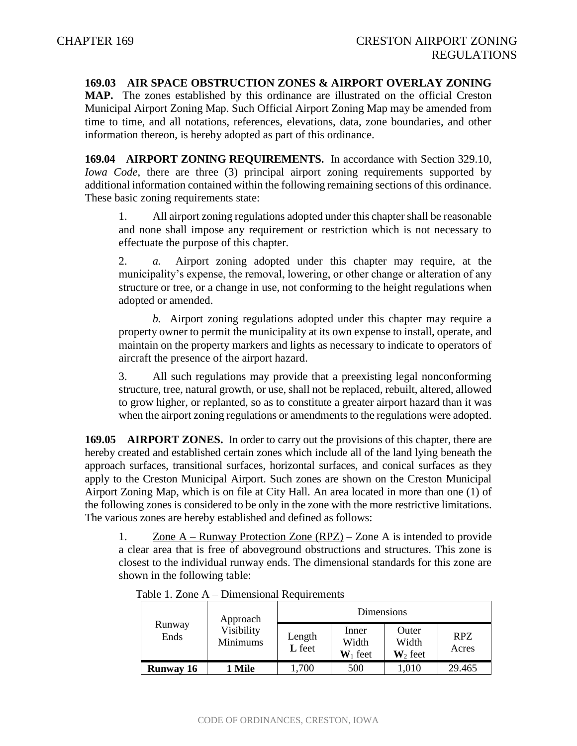#### **169.03 AIR SPACE OBSTRUCTION ZONES & AIRPORT OVERLAY ZONING**

**MAP.** The zones established by this ordinance are illustrated on the official Creston Municipal Airport Zoning Map. Such Official Airport Zoning Map may be amended from time to time, and all notations, references, elevations, data, zone boundaries, and other information thereon, is hereby adopted as part of this ordinance.

**169.04 AIRPORT ZONING REQUIREMENTS.** In accordance with Section 329.10, *Iowa Code*, there are three (3) principal airport zoning requirements supported by additional information contained within the following remaining sections of this ordinance. These basic zoning requirements state:

1. All airport zoning regulations adopted under this chapter shall be reasonable and none shall impose any requirement or restriction which is not necessary to effectuate the purpose of this chapter.

2. *a.* Airport zoning adopted under this chapter may require, at the municipality's expense, the removal, lowering, or other change or alteration of any structure or tree, or a change in use, not conforming to the height regulations when adopted or amended.

*b.* Airport zoning regulations adopted under this chapter may require a property owner to permit the municipality at its own expense to install, operate, and maintain on the property markers and lights as necessary to indicate to operators of aircraft the presence of the airport hazard.

3. All such regulations may provide that a preexisting legal nonconforming structure, tree, natural growth, or use, shall not be replaced, rebuilt, altered, allowed to grow higher, or replanted, so as to constitute a greater airport hazard than it was when the airport zoning regulations or amendments to the regulations were adopted.

**169.05 AIRPORT ZONES.** In order to carry out the provisions of this chapter, there are hereby created and established certain zones which include all of the land lying beneath the approach surfaces, transitional surfaces, horizontal surfaces, and conical surfaces as they apply to the Creston Municipal Airport. Such zones are shown on the Creston Municipal Airport Zoning Map, which is on file at City Hall. An area located in more than one (1) of the following zones is considered to be only in the zone with the more restrictive limitations. The various zones are hereby established and defined as follows:

1. Zone A – Runway Protection Zone (RPZ) – Zone A is intended to provide a clear area that is free of aboveground obstructions and structures. This zone is closest to the individual runway ends. The dimensional standards for this zone are shown in the following table:

|                  | Approach                      |                  | Dimensions                   |                                       |              |
|------------------|-------------------------------|------------------|------------------------------|---------------------------------------|--------------|
| Runway<br>Ends   | Visibility<br><b>Minimums</b> | Length<br>L feet | Inner<br>Width<br>$W_1$ feet | Outer<br>Width<br>$\mathbf{W}_2$ feet | RPZ<br>Acres |
| <b>Runway 16</b> | 1 Mile                        | 1,700            | 500                          | 1,010                                 | 29.465       |

Table 1. Zone A – Dimensional Requirements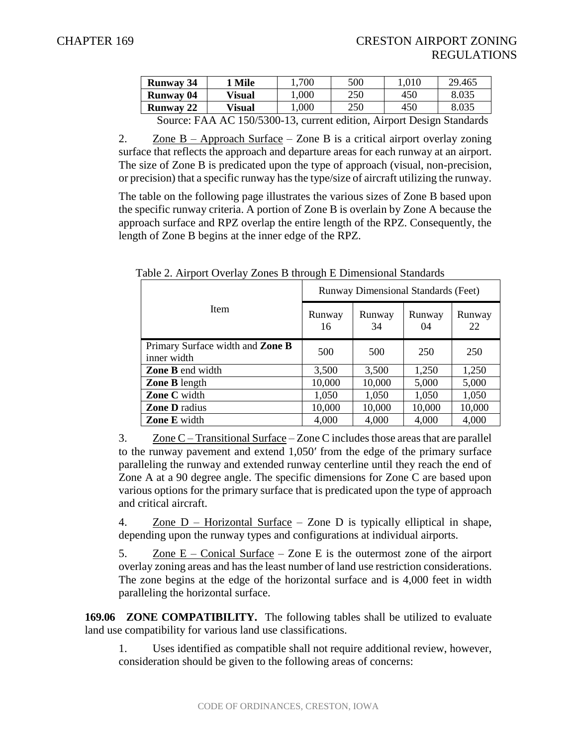| <b>Runway 34</b>                                                                           | <b>Mile</b> | 700  | 500 | 0.010 | 29.465 |  |
|--------------------------------------------------------------------------------------------|-------------|------|-----|-------|--------|--|
| <b>Runway 04</b>                                                                           | Visual      | ,000 | 250 | 450   | 8.035  |  |
| <b>Runway 22</b>                                                                           | Visual      | 000  | 250 | 450   | 8.035  |  |
| AC 150/5200 12 current odition Airport Docion Standards<br>$C_{\Omega\Pi}$ roo $\cdot$ EAA |             |      |     |       |        |  |

Source: FAA AC 150/5300-13, current edition, Airport Design Standards

2.  $\text{Zone } B - \text{Approach Surface} - \text{Zone } B$  is a critical airport overlay zoning surface that reflects the approach and departure areas for each runway at an airport. The size of Zone B is predicated upon the type of approach (visual, non-precision, or precision) that a specific runway has the type/size of aircraft utilizing the runway.

The table on the following page illustrates the various sizes of Zone B based upon the specific runway criteria. A portion of Zone B is overlain by Zone A because the approach surface and RPZ overlap the entire length of the RPZ. Consequently, the length of Zone B begins at the inner edge of the RPZ.

|                                                        | Runway Dimensional Standards (Feet) |              |              |              |  |  |
|--------------------------------------------------------|-------------------------------------|--------------|--------------|--------------|--|--|
| <b>Item</b>                                            | Runway<br>16                        | Runway<br>34 | Runway<br>04 | Runway<br>22 |  |  |
| Primary Surface width and <b>Zone B</b><br>inner width | 500                                 | 500          | 250          | 250          |  |  |
| <b>Zone B</b> end width                                | 3,500                               | 3,500        | 1,250        | 1,250        |  |  |
| <b>Zone B</b> length                                   | 10,000                              | 10,000       | 5,000        | 5,000        |  |  |
| <b>Zone C</b> width                                    | 1,050                               | 1,050        | 1,050        | 1,050        |  |  |
| <b>Zone D</b> radius                                   | 10,000                              | 10,000       | 10,000       | 10,000       |  |  |
| <b>Zone E</b> width                                    | 4,000                               | 4,000        | 4,000        | 4,000        |  |  |

Table 2. Airport Overlay Zones B through E Dimensional Standards

3.  $\text{Zone C}-\text{Transitional Surface}-\text{Zone C}$  includes those areas that are parallel to the runway pavement and extend 1,050′ from the edge of the primary surface paralleling the runway and extended runway centerline until they reach the end of Zone A at a 90 degree angle. The specific dimensions for Zone C are based upon various options for the primary surface that is predicated upon the type of approach and critical aircraft.

4. Zone  $D$  – Horizontal Surface – Zone D is typically elliptical in shape, depending upon the runway types and configurations at individual airports.

5. Zone  $E -$  Conical Surface – Zone E is the outermost zone of the airport overlay zoning areas and has the least number of land use restriction considerations. The zone begins at the edge of the horizontal surface and is 4,000 feet in width paralleling the horizontal surface.

**169.06 ZONE COMPATIBILITY.** The following tables shall be utilized to evaluate land use compatibility for various land use classifications.

1. Uses identified as compatible shall not require additional review, however, consideration should be given to the following areas of concerns: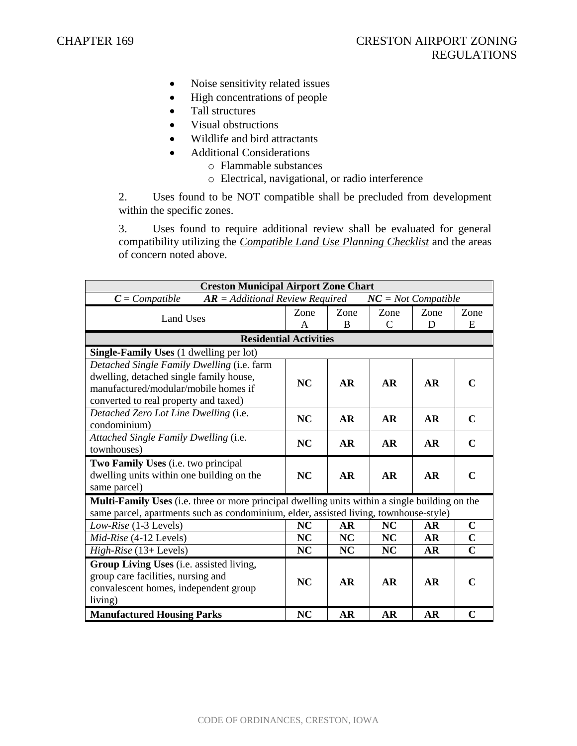- Noise sensitivity related issues
- High concentrations of people
- Tall structures
- Visual obstructions
- Wildlife and bird attractants
- Additional Considerations
	- o Flammable substances
	- o Electrical, navigational, or radio interference

2. Uses found to be NOT compatible shall be precluded from development within the specific zones.

3. Uses found to require additional review shall be evaluated for general compatibility utilizing the *Compatible Land Use Planning Checklist* and the areas of concern noted above.

| <b>Creston Municipal Airport Zone Chart</b>                                                                                                                                                    |           |           |                       |           |                |  |  |
|------------------------------------------------------------------------------------------------------------------------------------------------------------------------------------------------|-----------|-----------|-----------------------|-----------|----------------|--|--|
| $AR = Additional Review Required$<br>$C = Compute$                                                                                                                                             |           |           | $NC = Not$ Compatible |           |                |  |  |
| <b>Land Uses</b>                                                                                                                                                                               | Zone      | Zone      | Zone                  | Zone      | Zone           |  |  |
|                                                                                                                                                                                                | A         | B         | $\overline{C}$        | D         | E              |  |  |
| <b>Residential Activities</b>                                                                                                                                                                  |           |           |                       |           |                |  |  |
| <b>Single-Family Uses</b> (1 dwelling per lot)                                                                                                                                                 |           |           |                       |           |                |  |  |
| Detached Single Family Dwelling (i.e. farm<br>dwelling, detached single family house,<br>manufactured/modular/mobile homes if                                                                  | <b>NC</b> | <b>AR</b> | <b>AR</b>             | <b>AR</b> | $\mathbf C$    |  |  |
| converted to real property and taxed)                                                                                                                                                          |           |           |                       |           |                |  |  |
| Detached Zero Lot Line Dwelling (i.e.<br>condominium)                                                                                                                                          | <b>NC</b> | <b>AR</b> | <b>AR</b>             | AR        | $\mathbf C$    |  |  |
| Attached Single Family Dwelling (i.e.<br>townhouses)                                                                                                                                           | <b>NC</b> | <b>AR</b> | <b>AR</b>             | <b>AR</b> | $\mathbf C$    |  |  |
| Two Family Uses (i.e. two principal<br>dwelling units within one building on the<br>same parcel)                                                                                               | <b>NC</b> | <b>AR</b> | <b>AR</b>             | <b>AR</b> | $\mathbf C$    |  |  |
| <b>Multi-Family Uses</b> (i.e. three or more principal dwelling units within a single building on the<br>same parcel, apartments such as condominium, elder, assisted living, townhouse-style) |           |           |                       |           |                |  |  |
| Low-Rise (1-3 Levels)                                                                                                                                                                          | <b>NC</b> | AR        | <b>NC</b>             | AR        | $\mathbf C$    |  |  |
| Mid-Rise (4-12 Levels)                                                                                                                                                                         | NC        | NC        | <b>NC</b>             | <b>AR</b> | $\mathbf C$    |  |  |
| $High-Rise (13+Levels)$                                                                                                                                                                        | NC        | NC        | <b>NC</b>             | <b>AR</b> | $\overline{C}$ |  |  |
| Group Living Uses (i.e. assisted living,<br>group care facilities, nursing and<br>convalescent homes, independent group<br>living)                                                             | <b>NC</b> | <b>AR</b> | <b>AR</b>             | <b>AR</b> | $\mathbf C$    |  |  |
| <b>Manufactured Housing Parks</b>                                                                                                                                                              | NC        | <b>AR</b> | <b>AR</b>             | <b>AR</b> | $\mathbf C$    |  |  |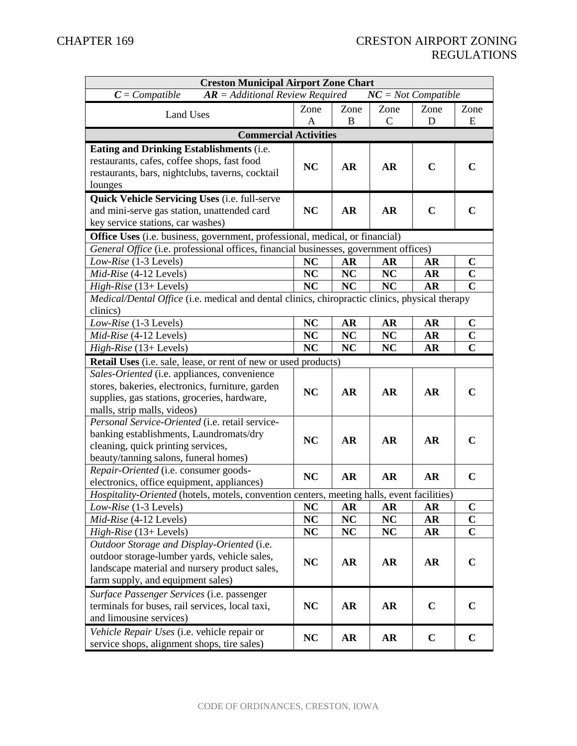| <b>Creston Municipal Airport Zone Chart</b>                                                    |           |           |              |             |                |  |
|------------------------------------------------------------------------------------------------|-----------|-----------|--------------|-------------|----------------|--|
| $C = Compute$<br>$AR = Additional Review Required$<br>$NC = Not$ Compatible                    |           |           |              |             |                |  |
| <b>Land Uses</b>                                                                               | Zone      | Zone      | Zone         | Zone        | Zone           |  |
|                                                                                                | A         | B         | $\mathsf{C}$ | D           | E              |  |
| <b>Commercial Activities</b>                                                                   |           |           |              |             |                |  |
| Eating and Drinking Establishments (i.e.                                                       |           |           |              |             |                |  |
| restaurants, cafes, coffee shops, fast food                                                    | <b>NC</b> | <b>AR</b> | <b>AR</b>    | $\mathbf C$ | C              |  |
| restaurants, bars, nightclubs, taverns, cocktail                                               |           |           |              |             |                |  |
| lounges                                                                                        |           |           |              |             |                |  |
| <b>Quick Vehicle Servicing Uses (i.e. full-serve</b>                                           |           |           |              |             |                |  |
| and mini-serve gas station, unattended card                                                    | <b>NC</b> | AR        | AR           | $\mathbf C$ | $\mathbf C$    |  |
| key service stations, car washes)                                                              |           |           |              |             |                |  |
| <b>Office Uses</b> (i.e. business, government, professional, medical, or financial)            |           |           |              |             |                |  |
| General Office (i.e. professional offices, financial businesses, government offices)           |           |           |              |             |                |  |
| Low-Rise (1-3 Levels)                                                                          | <b>NC</b> | AR        | <b>AR</b>    | AR          | $\mathbf C$    |  |
| Mid-Rise (4-12 Levels)                                                                         | NC        | <b>NC</b> | NC           | AR          | $\overline{C}$ |  |
| $High-Rise (13+Levels)$                                                                        | <b>NC</b> | <b>NC</b> | <b>NC</b>    | <b>AR</b>   | $\mathbf C$    |  |
| Medical/Dental Office (i.e. medical and dental clinics, chiropractic clinics, physical therapy |           |           |              |             |                |  |
| clinics)                                                                                       |           |           |              |             |                |  |
| Low-Rise (1-3 Levels)                                                                          | <b>NC</b> | AR        | <b>AR</b>    | <b>AR</b>   | $\mathbf C$    |  |
| Mid-Rise (4-12 Levels)                                                                         | <b>NC</b> | NC        | NC           | AR          | $\mathbf C$    |  |
| High-Rise (13+ Levels)                                                                         | <b>NC</b> | <b>NC</b> | <b>NC</b>    | <b>AR</b>   | $\mathbf C$    |  |
| Retail Uses (i.e. sale, lease, or rent of new or used products)                                |           |           |              |             |                |  |
| Sales-Oriented (i.e. appliances, convenience                                                   |           |           |              |             |                |  |
| stores, bakeries, electronics, furniture, garden                                               | <b>NC</b> | <b>AR</b> | <b>AR</b>    | <b>AR</b>   | $\mathbf C$    |  |
| supplies, gas stations, groceries, hardware,                                                   |           |           |              |             |                |  |
| malls, strip malls, videos)                                                                    |           |           |              |             |                |  |
| Personal Service-Oriented (i.e. retail service-                                                |           |           |              |             |                |  |
| banking establishments, Laundromats/dry                                                        | <b>NC</b> | <b>AR</b> | AR           | <b>AR</b>   | $\mathbf C$    |  |
| cleaning, quick printing services,                                                             |           |           |              |             |                |  |
| beauty/tanning salons, funeral homes)<br>Repair-Oriented (i.e. consumer goods-                 |           |           |              |             |                |  |
| electronics, office equipment, appliances)                                                     | <b>NC</b> | AR        | <b>AR</b>    | <b>AR</b>   | $\mathbf C$    |  |
| Hospitality-Oriented (hotels, motels, convention centers, meeting halls, event facilities)     |           |           |              |             |                |  |
| Low-Rise (1-3 Levels)                                                                          | <b>NC</b> | <b>AR</b> | AR           | AR          | $\mathbf C$    |  |
| Mid-Rise (4-12 Levels)                                                                         | <b>NC</b> | <b>NC</b> | NC           | AR          | $\mathbf C$    |  |
| $High-Rise$ (13+ Levels)                                                                       | <b>NC</b> | NC        | NC           | <b>AR</b>   | $\mathbf C$    |  |
| Outdoor Storage and Display-Oriented (i.e.                                                     |           |           |              |             |                |  |
| outdoor storage-lumber yards, vehicle sales,                                                   |           |           |              |             |                |  |
| landscape material and nursery product sales,                                                  | <b>NC</b> | AR        | AR           | <b>AR</b>   | $\mathbf C$    |  |
| farm supply, and equipment sales)                                                              |           |           |              |             |                |  |
| Surface Passenger Services (i.e. passenger                                                     |           |           |              |             |                |  |
| terminals for buses, rail services, local taxi,                                                | NC        | <b>AR</b> | AR           | $\mathbf C$ | $\mathbf C$    |  |
| and limousine services)                                                                        |           |           |              |             |                |  |
| Vehicle Repair Uses (i.e. vehicle repair or                                                    |           |           |              |             |                |  |
| service shops, alignment shops, tire sales)                                                    | <b>NC</b> | AR        | AR           | $\mathbf C$ | $\mathbf C$    |  |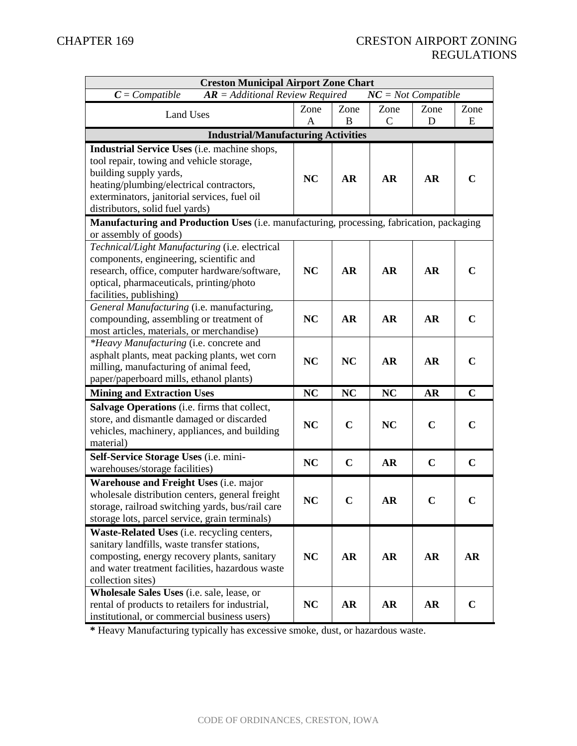| <b>Creston Municipal Airport Zone Chart</b>                                               |           |             |                       |             |             |  |
|-------------------------------------------------------------------------------------------|-----------|-------------|-----------------------|-------------|-------------|--|
| $C = Compute$<br>$AR = Additional Review Required$                                        |           |             | $NC = Not$ Compatible |             |             |  |
| <b>Land Uses</b>                                                                          | Zone      | Zone        | Zone                  | Zone        | Zone        |  |
|                                                                                           | A         | B           | $\mathcal{C}$         | D           | E           |  |
| <b>Industrial/Manufacturing Activities</b>                                                |           |             |                       |             |             |  |
| Industrial Service Uses (i.e. machine shops,                                              |           |             |                       |             |             |  |
| tool repair, towing and vehicle storage,                                                  |           |             |                       |             |             |  |
| building supply yards,                                                                    | <b>NC</b> | <b>AR</b>   | <b>AR</b>             | <b>AR</b>   | $\mathbf C$ |  |
| heating/plumbing/electrical contractors,                                                  |           |             |                       |             |             |  |
| exterminators, janitorial services, fuel oil                                              |           |             |                       |             |             |  |
| distributors, solid fuel yards)                                                           |           |             |                       |             |             |  |
| Manufacturing and Production Uses (i.e. manufacturing, processing, fabrication, packaging |           |             |                       |             |             |  |
| or assembly of goods)                                                                     |           |             |                       |             |             |  |
| Technical/Light Manufacturing (i.e. electrical                                            |           |             |                       |             |             |  |
| components, engineering, scientific and                                                   |           |             |                       |             |             |  |
| research, office, computer hardware/software,                                             | <b>NC</b> | <b>AR</b>   | <b>AR</b>             | <b>AR</b>   | $\mathbf C$ |  |
| optical, pharmaceuticals, printing/photo                                                  |           |             |                       |             |             |  |
| facilities, publishing)                                                                   |           |             |                       |             |             |  |
| General Manufacturing (i.e. manufacturing,                                                |           |             |                       |             |             |  |
| compounding, assembling or treatment of                                                   | <b>NC</b> | <b>AR</b>   | <b>AR</b>             | <b>AR</b>   | $\mathbf C$ |  |
| most articles, materials, or merchandise)                                                 |           |             |                       |             |             |  |
| *Heavy Manufacturing (i.e. concrete and                                                   |           |             |                       |             |             |  |
| asphalt plants, meat packing plants, wet corn                                             | <b>NC</b> | <b>NC</b>   | <b>AR</b>             | <b>AR</b>   | $\mathbf C$ |  |
| milling, manufacturing of animal feed,                                                    |           |             |                       |             |             |  |
| paper/paperboard mills, ethanol plants)                                                   |           |             |                       |             |             |  |
| <b>Mining and Extraction Uses</b>                                                         | <b>NC</b> | NC          | <b>NC</b>             | <b>AR</b>   | $\mathbf C$ |  |
| Salvage Operations (i.e. firms that collect,                                              |           |             |                       |             |             |  |
| store, and dismantle damaged or discarded                                                 | <b>NC</b> | $\mathbf C$ | <b>NC</b>             | $\mathbf C$ | $\mathbf C$ |  |
| vehicles, machinery, appliances, and building                                             |           |             |                       |             |             |  |
| material)                                                                                 |           |             |                       |             |             |  |
| Self-Service Storage Uses (i.e. mini-                                                     | <b>NC</b> | $\mathbf C$ | <b>AR</b>             | $\mathbf C$ | $\mathbf C$ |  |
| warehouses/storage facilities)                                                            |           |             |                       |             |             |  |
| Warehouse and Freight Uses (i.e. major                                                    |           |             |                       |             |             |  |
| wholesale distribution centers, general freight                                           | <b>NC</b> | $\mathbf C$ | AR                    | $\mathbf C$ | $\mathbf C$ |  |
| storage, railroad switching yards, bus/rail care                                          |           |             |                       |             |             |  |
| storage lots, parcel service, grain terminals)                                            |           |             |                       |             |             |  |
| Waste-Related Uses (i.e. recycling centers,                                               |           |             |                       |             |             |  |
| sanitary landfills, waste transfer stations,                                              |           |             |                       |             |             |  |
| composting, energy recovery plants, sanitary                                              | <b>NC</b> | <b>AR</b>   | <b>AR</b>             | <b>AR</b>   | <b>AR</b>   |  |
| and water treatment facilities, hazardous waste                                           |           |             |                       |             |             |  |
| collection sites)                                                                         |           |             |                       |             |             |  |
| Wholesale Sales Uses (i.e. sale, lease, or                                                |           |             |                       |             |             |  |
| rental of products to retailers for industrial,                                           | NC        | AR          | AR                    | <b>AR</b>   | $\mathbf C$ |  |
| institutional, or commercial business users)                                              |           |             |                       |             |             |  |

**\*** Heavy Manufacturing typically has excessive smoke, dust, or hazardous waste.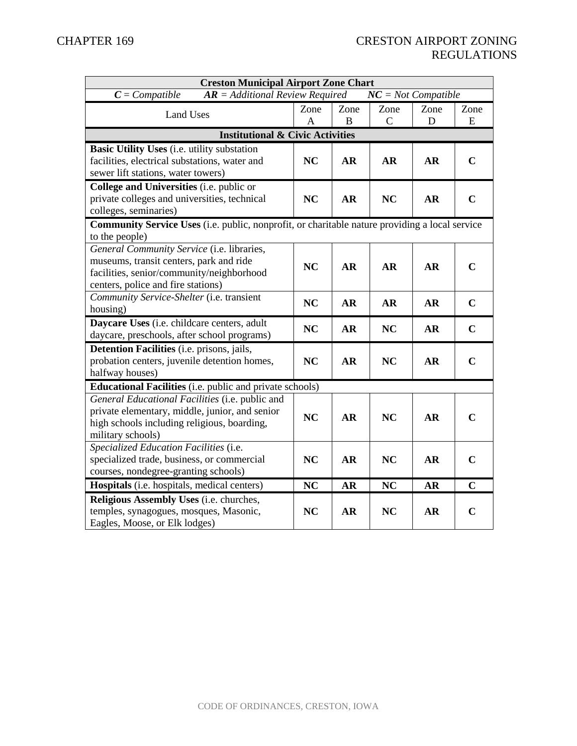| <b>Creston Municipal Airport Zone Chart</b>                                                           |           |           |               |           |             |  |
|-------------------------------------------------------------------------------------------------------|-----------|-----------|---------------|-----------|-------------|--|
| $AR = Additional Review Required$<br>$NC = Not$ Compatible<br>$C = Compute$                           |           |           |               |           |             |  |
| <b>Land Uses</b>                                                                                      | Zone      | Zone      | Zone          | Zone      | Zone        |  |
|                                                                                                       | A         | B         | $\mathcal{C}$ | D         | E           |  |
| <b>Institutional &amp; Civic Activities</b>                                                           |           |           |               |           |             |  |
| <b>Basic Utility Uses</b> (i.e. utility substation                                                    |           |           |               |           |             |  |
| facilities, electrical substations, water and                                                         | <b>NC</b> | AR        | <b>AR</b>     | <b>AR</b> | $\mathbf C$ |  |
| sewer lift stations, water towers)                                                                    |           |           |               |           |             |  |
| College and Universities (i.e. public or                                                              |           |           |               |           |             |  |
| private colleges and universities, technical                                                          | <b>NC</b> | <b>AR</b> | <b>NC</b>     | <b>AR</b> | $\mathbf C$ |  |
| colleges, seminaries)                                                                                 |           |           |               |           |             |  |
| <b>Community Service Uses</b> (i.e. public, nonprofit, or charitable nature providing a local service |           |           |               |           |             |  |
| to the people)                                                                                        |           |           |               |           |             |  |
| General Community Service (i.e. libraries,                                                            |           |           |               |           |             |  |
| museums, transit centers, park and ride                                                               | <b>NC</b> | <b>AR</b> | <b>AR</b>     | <b>AR</b> | $\mathbf C$ |  |
| facilities, senior/community/neighborhood<br>centers, police and fire stations)                       |           |           |               |           |             |  |
| Community Service-Shelter (i.e. transient                                                             |           |           |               |           |             |  |
| housing)                                                                                              | <b>NC</b> | <b>AR</b> | <b>AR</b>     | <b>AR</b> | $\mathbf C$ |  |
| Daycare Uses (i.e. childcare centers, adult                                                           |           |           |               |           |             |  |
| daycare, preschools, after school programs)                                                           | <b>NC</b> | <b>AR</b> | <b>NC</b>     | <b>AR</b> | $\mathbf C$ |  |
| <b>Detention Facilities</b> (i.e. prisons, jails,                                                     |           |           |               |           |             |  |
| probation centers, juvenile detention homes,                                                          | <b>NC</b> | AR        | <b>NC</b>     | <b>AR</b> | $\mathbf C$ |  |
| halfway houses)                                                                                       |           |           |               |           |             |  |
| <b>Educational Facilities</b> (i.e. public and private schools)                                       |           |           |               |           |             |  |
| General Educational Facilities (i.e. public and                                                       |           |           |               |           |             |  |
| private elementary, middle, junior, and senior                                                        |           |           |               |           |             |  |
| high schools including religious, boarding,                                                           | <b>NC</b> | <b>AR</b> | <b>NC</b>     | <b>AR</b> | $\mathbf C$ |  |
| military schools)                                                                                     |           |           |               |           |             |  |
| Specialized Education Facilities (i.e.                                                                |           |           |               |           |             |  |
| specialized trade, business, or commercial                                                            | <b>NC</b> | <b>AR</b> | <b>NC</b>     | <b>AR</b> | $\mathbf C$ |  |
| courses, nondegree-granting schools)                                                                  |           |           |               |           |             |  |
| Hospitals (i.e. hospitals, medical centers)                                                           | <b>NC</b> | <b>AR</b> | <b>NC</b>     | <b>AR</b> | $\mathbf C$ |  |
| Religious Assembly Uses (i.e. churches,                                                               |           |           |               |           |             |  |
| temples, synagogues, mosques, Masonic,                                                                | <b>NC</b> | <b>AR</b> | NC            | <b>AR</b> | $\mathbf C$ |  |
| Eagles, Moose, or Elk lodges)                                                                         |           |           |               |           |             |  |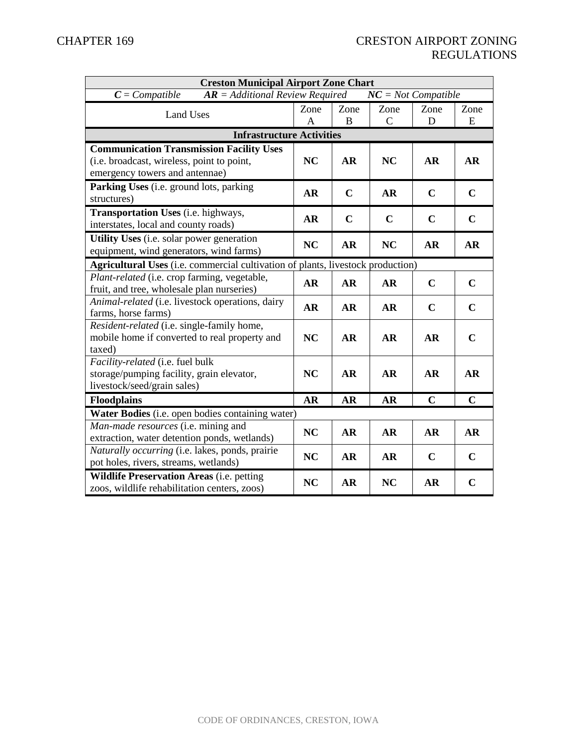| <b>Creston Municipal Airport Zone Chart</b>                                                                                     |                                                                                        |             |                       |             |             |  |
|---------------------------------------------------------------------------------------------------------------------------------|----------------------------------------------------------------------------------------|-------------|-----------------------|-------------|-------------|--|
| $C = Compute$<br>$AR = Additional Review Required$                                                                              |                                                                                        |             | $NC = Not$ Compatible |             |             |  |
| <b>Land Uses</b>                                                                                                                | Zone<br>A                                                                              | Zone<br>B   | Zone<br>$\mathsf{C}$  | Zone<br>D   | Zone<br>E   |  |
| <b>Infrastructure Activities</b>                                                                                                |                                                                                        |             |                       |             |             |  |
| <b>Communication Transmission Facility Uses</b><br>(i.e. broadcast, wireless, point to point,<br>emergency towers and antennae) | <b>NC</b>                                                                              | <b>AR</b>   | <b>NC</b>             | <b>AR</b>   | <b>AR</b>   |  |
| Parking Uses (i.e. ground lots, parking<br>structures)                                                                          | <b>AR</b>                                                                              | $\mathbf C$ | <b>AR</b>             | $\mathbf C$ | $\mathbf C$ |  |
| <b>Transportation Uses</b> (i.e. highways,<br>interstates, local and county roads)                                              | <b>AR</b>                                                                              | $\mathbf C$ | $\mathbf C$           | $\mathbf C$ | $\mathbf C$ |  |
| <b>Utility Uses</b> (i.e. solar power generation<br>equipment, wind generators, wind farms)                                     | <b>NC</b>                                                                              | <b>AR</b>   | <b>NC</b>             | <b>AR</b>   | <b>AR</b>   |  |
|                                                                                                                                 | <b>Agricultural Uses</b> (i.e. commercial cultivation of plants, livestock production) |             |                       |             |             |  |
| Plant-related (i.e. crop farming, vegetable,<br>fruit, and tree, wholesale plan nurseries)                                      | <b>AR</b>                                                                              | <b>AR</b>   | <b>AR</b>             | $\mathbf C$ | $\mathbf C$ |  |
| Animal-related (i.e. livestock operations, dairy<br>farms, horse farms)                                                         | <b>AR</b>                                                                              | <b>AR</b>   | <b>AR</b>             | $\mathbf C$ | $\mathbf C$ |  |
| Resident-related (i.e. single-family home,<br>mobile home if converted to real property and<br>taxed)                           | <b>NC</b>                                                                              | <b>AR</b>   | <b>AR</b>             | <b>AR</b>   | $\mathbf C$ |  |
| Facility-related (i.e. fuel bulk<br>storage/pumping facility, grain elevator,<br>livestock/seed/grain sales)                    | NC                                                                                     | <b>AR</b>   | <b>AR</b>             | <b>AR</b>   | <b>AR</b>   |  |
| <b>Floodplains</b>                                                                                                              | <b>AR</b>                                                                              | AR          | <b>AR</b>             | $\mathbf C$ | $\mathbf C$ |  |
| Water Bodies (i.e. open bodies containing water)                                                                                |                                                                                        |             |                       |             |             |  |
| Man-made resources (i.e. mining and<br>extraction, water detention ponds, wetlands)                                             | <b>NC</b>                                                                              | <b>AR</b>   | <b>AR</b>             | <b>AR</b>   | <b>AR</b>   |  |
| Naturally occurring (i.e. lakes, ponds, prairie<br>pot holes, rivers, streams, wetlands)                                        | NC                                                                                     | <b>AR</b>   | <b>AR</b>             | $\mathbf C$ | $\mathbf C$ |  |
| <b>Wildlife Preservation Areas (i.e. petting</b><br>zoos, wildlife rehabilitation centers, zoos)                                | NC                                                                                     | <b>AR</b>   | <b>NC</b>             | <b>AR</b>   | $\mathbf C$ |  |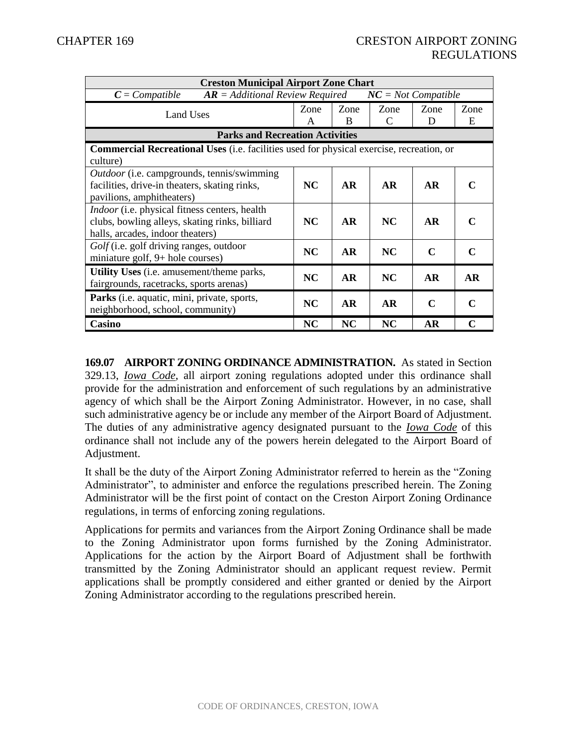| <b>Creston Municipal Airport Zone Chart</b>                                                                                         |           |           |           |                       |                             |  |
|-------------------------------------------------------------------------------------------------------------------------------------|-----------|-----------|-----------|-----------------------|-----------------------------|--|
| $AR = Additional Review Required$<br>$C = Compute$                                                                                  |           |           |           | $NC = Not$ Compatible |                             |  |
| Land Uses                                                                                                                           | Zone<br>A | Zone<br>B | Zone<br>C | Zone<br>D             | Zone<br>E                   |  |
| <b>Parks and Recreation Activities</b>                                                                                              |           |           |           |                       |                             |  |
| <b>Commercial Recreational Uses</b> (i.e. facilities used for physical exercise, recreation, or<br>culture)                         |           |           |           |                       |                             |  |
| <i>Outdoor</i> (i.e. campgrounds, tennis/swimming<br>facilities, drive-in theaters, skating rinks,<br>pavilions, amphitheaters)     | NC        | <b>AR</b> | <b>AR</b> | <b>AR</b>             |                             |  |
| Indoor (i.e. physical fitness centers, health<br>clubs, bowling alleys, skating rinks, billiard<br>halls, arcades, indoor theaters) | NC        | <b>AR</b> | NC        | <b>AR</b>             | $\mathbf C$                 |  |
| Golf (i.e. golf driving ranges, outdoor<br>miniature golf, 9+ hole courses)                                                         | <b>NC</b> | <b>AR</b> | <b>NC</b> | C                     | C                           |  |
| <b>Utility Uses</b> (i.e. amusement/theme parks,<br>fairgrounds, racetracks, sports arenas)                                         | NC        | <b>AR</b> | NC        | <b>AR</b>             | <b>AR</b>                   |  |
| Parks (i.e. aquatic, mini, private, sports,<br>neighborhood, school, community)                                                     | NC        | <b>AR</b> | <b>AR</b> | $\mathbf C$           | $\mathcal{C}_{\mathcal{C}}$ |  |
| Casino                                                                                                                              | <b>NC</b> | <b>NC</b> | <b>NC</b> | <b>AR</b>             | C                           |  |

**169.07 AIRPORT ZONING ORDINANCE ADMINISTRATION.** As stated in Section 329.13, *Iowa Code*, all airport zoning regulations adopted under this ordinance shall provide for the administration and enforcement of such regulations by an administrative agency of which shall be the Airport Zoning Administrator. However, in no case, shall such administrative agency be or include any member of the Airport Board of Adjustment. The duties of any administrative agency designated pursuant to the *Iowa Code* of this ordinance shall not include any of the powers herein delegated to the Airport Board of Adjustment.

It shall be the duty of the Airport Zoning Administrator referred to herein as the "Zoning Administrator", to administer and enforce the regulations prescribed herein. The Zoning Administrator will be the first point of contact on the Creston Airport Zoning Ordinance regulations, in terms of enforcing zoning regulations.

Applications for permits and variances from the Airport Zoning Ordinance shall be made to the Zoning Administrator upon forms furnished by the Zoning Administrator. Applications for the action by the Airport Board of Adjustment shall be forthwith transmitted by the Zoning Administrator should an applicant request review. Permit applications shall be promptly considered and either granted or denied by the Airport Zoning Administrator according to the regulations prescribed herein.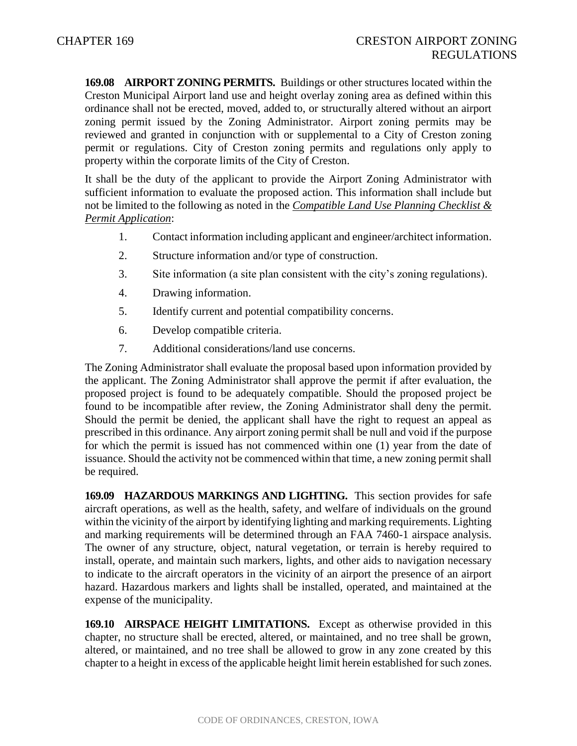**169.08 AIRPORT ZONING PERMITS.** Buildings or other structures located within the Creston Municipal Airport land use and height overlay zoning area as defined within this ordinance shall not be erected, moved, added to, or structurally altered without an airport zoning permit issued by the Zoning Administrator. Airport zoning permits may be reviewed and granted in conjunction with or supplemental to a City of Creston zoning permit or regulations. City of Creston zoning permits and regulations only apply to property within the corporate limits of the City of Creston.

It shall be the duty of the applicant to provide the Airport Zoning Administrator with sufficient information to evaluate the proposed action. This information shall include but not be limited to the following as noted in the *Compatible Land Use Planning Checklist & Permit Application*:

- 1. Contact information including applicant and engineer/architect information.
- 2. Structure information and/or type of construction.
- 3. Site information (a site plan consistent with the city's zoning regulations).
- 4. Drawing information.
- 5. Identify current and potential compatibility concerns.
- 6. Develop compatible criteria.
- 7. Additional considerations/land use concerns.

The Zoning Administrator shall evaluate the proposal based upon information provided by the applicant. The Zoning Administrator shall approve the permit if after evaluation, the proposed project is found to be adequately compatible. Should the proposed project be found to be incompatible after review, the Zoning Administrator shall deny the permit. Should the permit be denied, the applicant shall have the right to request an appeal as prescribed in this ordinance. Any airport zoning permit shall be null and void if the purpose for which the permit is issued has not commenced within one (1) year from the date of issuance. Should the activity not be commenced within that time, a new zoning permit shall be required.

**169.09 HAZARDOUS MARKINGS AND LIGHTING.** This section provides for safe aircraft operations, as well as the health, safety, and welfare of individuals on the ground within the vicinity of the airport by identifying lighting and marking requirements. Lighting and marking requirements will be determined through an FAA 7460-1 airspace analysis. The owner of any structure, object, natural vegetation, or terrain is hereby required to install, operate, and maintain such markers, lights, and other aids to navigation necessary to indicate to the aircraft operators in the vicinity of an airport the presence of an airport hazard. Hazardous markers and lights shall be installed, operated, and maintained at the expense of the municipality.

**169.10 AIRSPACE HEIGHT LIMITATIONS.** Except as otherwise provided in this chapter, no structure shall be erected, altered, or maintained, and no tree shall be grown, altered, or maintained, and no tree shall be allowed to grow in any zone created by this chapter to a height in excess of the applicable height limit herein established for such zones.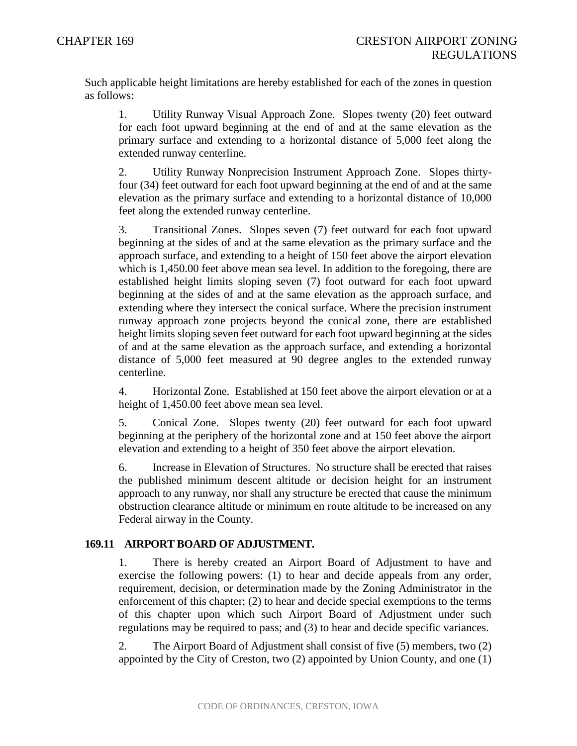Such applicable height limitations are hereby established for each of the zones in question as follows:

1. Utility Runway Visual Approach Zone. Slopes twenty (20) feet outward for each foot upward beginning at the end of and at the same elevation as the primary surface and extending to a horizontal distance of 5,000 feet along the extended runway centerline.

2. Utility Runway Nonprecision Instrument Approach Zone. Slopes thirtyfour (34) feet outward for each foot upward beginning at the end of and at the same elevation as the primary surface and extending to a horizontal distance of 10,000 feet along the extended runway centerline.

3. Transitional Zones. Slopes seven (7) feet outward for each foot upward beginning at the sides of and at the same elevation as the primary surface and the approach surface, and extending to a height of 150 feet above the airport elevation which is 1,450.00 feet above mean sea level. In addition to the foregoing, there are established height limits sloping seven (7) foot outward for each foot upward beginning at the sides of and at the same elevation as the approach surface, and extending where they intersect the conical surface. Where the precision instrument runway approach zone projects beyond the conical zone, there are established height limits sloping seven feet outward for each foot upward beginning at the sides of and at the same elevation as the approach surface, and extending a horizontal distance of 5,000 feet measured at 90 degree angles to the extended runway centerline.

4. Horizontal Zone. Established at 150 feet above the airport elevation or at a height of 1,450.00 feet above mean sea level.

5. Conical Zone. Slopes twenty (20) feet outward for each foot upward beginning at the periphery of the horizontal zone and at 150 feet above the airport elevation and extending to a height of 350 feet above the airport elevation.

6. Increase in Elevation of Structures. No structure shall be erected that raises the published minimum descent altitude or decision height for an instrument approach to any runway, nor shall any structure be erected that cause the minimum obstruction clearance altitude or minimum en route altitude to be increased on any Federal airway in the County.

# **169.11 AIRPORT BOARD OF ADJUSTMENT.**

1. There is hereby created an Airport Board of Adjustment to have and exercise the following powers: (1) to hear and decide appeals from any order, requirement, decision, or determination made by the Zoning Administrator in the enforcement of this chapter; (2) to hear and decide special exemptions to the terms of this chapter upon which such Airport Board of Adjustment under such regulations may be required to pass; and (3) to hear and decide specific variances.

2. The Airport Board of Adjustment shall consist of five (5) members, two (2) appointed by the City of Creston, two (2) appointed by Union County, and one (1)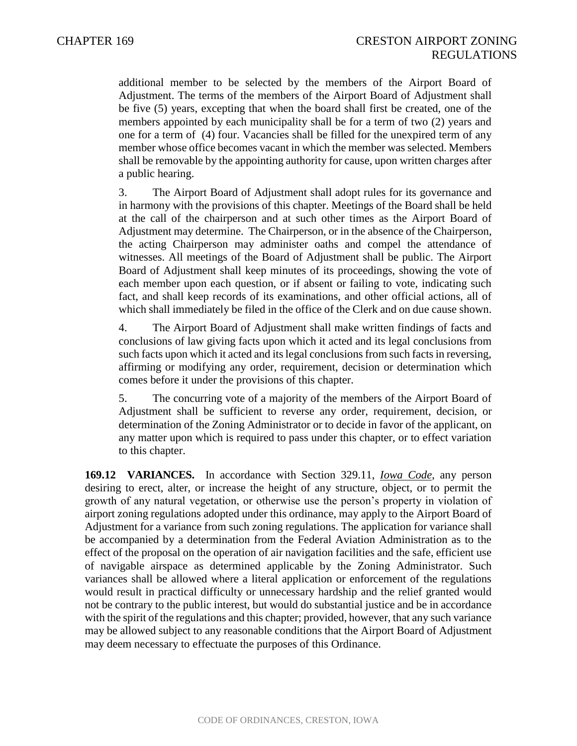additional member to be selected by the members of the Airport Board of Adjustment. The terms of the members of the Airport Board of Adjustment shall be five (5) years, excepting that when the board shall first be created, one of the members appointed by each municipality shall be for a term of two (2) years and one for a term of (4) four. Vacancies shall be filled for the unexpired term of any member whose office becomes vacant in which the member was selected. Members shall be removable by the appointing authority for cause, upon written charges after a public hearing.

3. The Airport Board of Adjustment shall adopt rules for its governance and in harmony with the provisions of this chapter. Meetings of the Board shall be held at the call of the chairperson and at such other times as the Airport Board of Adjustment may determine. The Chairperson, or in the absence of the Chairperson, the acting Chairperson may administer oaths and compel the attendance of witnesses. All meetings of the Board of Adjustment shall be public. The Airport Board of Adjustment shall keep minutes of its proceedings, showing the vote of each member upon each question, or if absent or failing to vote, indicating such fact, and shall keep records of its examinations, and other official actions, all of which shall immediately be filed in the office of the Clerk and on due cause shown.

4. The Airport Board of Adjustment shall make written findings of facts and conclusions of law giving facts upon which it acted and its legal conclusions from such facts upon which it acted and its legal conclusions from such facts in reversing, affirming or modifying any order, requirement, decision or determination which comes before it under the provisions of this chapter.

5. The concurring vote of a majority of the members of the Airport Board of Adjustment shall be sufficient to reverse any order, requirement, decision, or determination of the Zoning Administrator or to decide in favor of the applicant, on any matter upon which is required to pass under this chapter, or to effect variation to this chapter.

**169.12 VARIANCES.** In accordance with Section 329.11, *Iowa Code*, any person desiring to erect, alter, or increase the height of any structure, object, or to permit the growth of any natural vegetation, or otherwise use the person's property in violation of airport zoning regulations adopted under this ordinance, may apply to the Airport Board of Adjustment for a variance from such zoning regulations. The application for variance shall be accompanied by a determination from the Federal Aviation Administration as to the effect of the proposal on the operation of air navigation facilities and the safe, efficient use of navigable airspace as determined applicable by the Zoning Administrator. Such variances shall be allowed where a literal application or enforcement of the regulations would result in practical difficulty or unnecessary hardship and the relief granted would not be contrary to the public interest, but would do substantial justice and be in accordance with the spirit of the regulations and this chapter; provided, however, that any such variance may be allowed subject to any reasonable conditions that the Airport Board of Adjustment may deem necessary to effectuate the purposes of this Ordinance.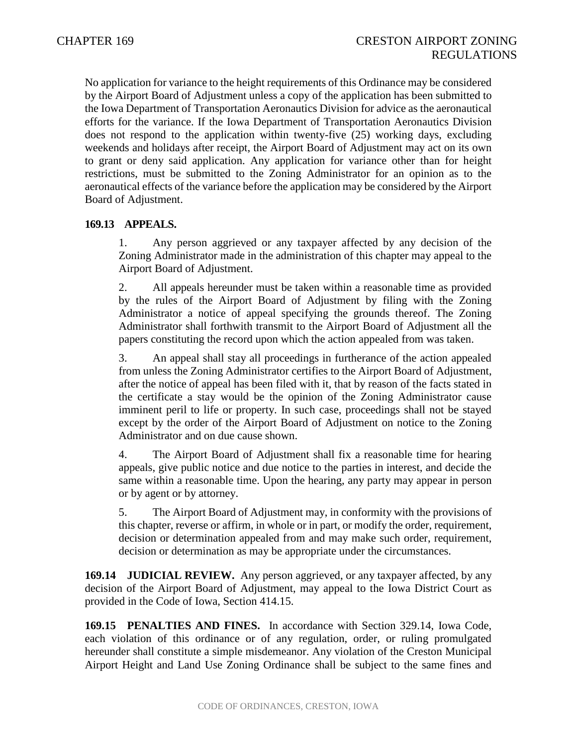No application for variance to the height requirements of this Ordinance may be considered by the Airport Board of Adjustment unless a copy of the application has been submitted to the Iowa Department of Transportation Aeronautics Division for advice as the aeronautical efforts for the variance. If the Iowa Department of Transportation Aeronautics Division does not respond to the application within twenty-five (25) working days, excluding weekends and holidays after receipt, the Airport Board of Adjustment may act on its own to grant or deny said application. Any application for variance other than for height restrictions, must be submitted to the Zoning Administrator for an opinion as to the aeronautical effects of the variance before the application may be considered by the Airport Board of Adjustment.

# **169.13 APPEALS.**

1. Any person aggrieved or any taxpayer affected by any decision of the Zoning Administrator made in the administration of this chapter may appeal to the Airport Board of Adjustment.

2. All appeals hereunder must be taken within a reasonable time as provided by the rules of the Airport Board of Adjustment by filing with the Zoning Administrator a notice of appeal specifying the grounds thereof. The Zoning Administrator shall forthwith transmit to the Airport Board of Adjustment all the papers constituting the record upon which the action appealed from was taken.

3. An appeal shall stay all proceedings in furtherance of the action appealed from unless the Zoning Administrator certifies to the Airport Board of Adjustment, after the notice of appeal has been filed with it, that by reason of the facts stated in the certificate a stay would be the opinion of the Zoning Administrator cause imminent peril to life or property. In such case, proceedings shall not be stayed except by the order of the Airport Board of Adjustment on notice to the Zoning Administrator and on due cause shown.

4. The Airport Board of Adjustment shall fix a reasonable time for hearing appeals, give public notice and due notice to the parties in interest, and decide the same within a reasonable time. Upon the hearing, any party may appear in person or by agent or by attorney.

5. The Airport Board of Adjustment may, in conformity with the provisions of this chapter, reverse or affirm, in whole or in part, or modify the order, requirement, decision or determination appealed from and may make such order, requirement, decision or determination as may be appropriate under the circumstances.

**169.14 JUDICIAL REVIEW.** Any person aggrieved, or any taxpayer affected, by any decision of the Airport Board of Adjustment, may appeal to the Iowa District Court as provided in the Code of Iowa, Section 414.15.

**169.15 PENALTIES AND FINES.** In accordance with Section 329.14, Iowa Code, each violation of this ordinance or of any regulation, order, or ruling promulgated hereunder shall constitute a simple misdemeanor. Any violation of the Creston Municipal Airport Height and Land Use Zoning Ordinance shall be subject to the same fines and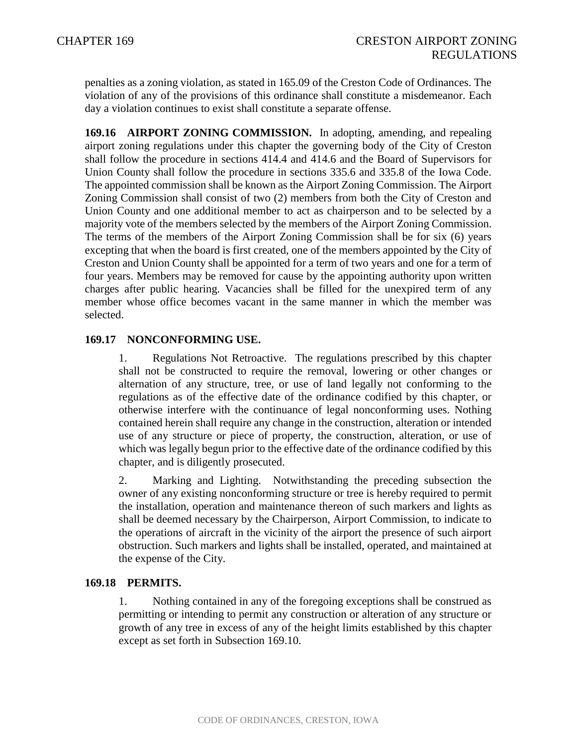penalties as a zoning violation, as stated in 165.09 of the Creston Code of Ordinances. The violation of any of the provisions of this ordinance shall constitute a misdemeanor. Each day a violation continues to exist shall constitute a separate offense.

**169.16 AIRPORT ZONING COMMISSION.** In adopting, amending, and repealing airport zoning regulations under this chapter the governing body of the City of Creston shall follow the procedure in sections 414.4 and 414.6 and the Board of Supervisors for Union County shall follow the procedure in sections 335.6 and 335.8 of the Iowa Code. The appointed commission shall be known as the Airport Zoning Commission. The Airport Zoning Commission shall consist of two (2) members from both the City of Creston and Union County and one additional member to act as chairperson and to be selected by a majority vote of the members selected by the members of the Airport Zoning Commission. The terms of the members of the Airport Zoning Commission shall be for six (6) years excepting that when the board is first created, one of the members appointed by the City of Creston and Union County shall be appointed for a term of two years and one for a term of four years. Members may be removed for cause by the appointing authority upon written charges after public hearing. Vacancies shall be filled for the unexpired term of any member whose office becomes vacant in the same manner in which the member was selected.

# **169.17 NONCONFORMING USE.**

1. Regulations Not Retroactive. The regulations prescribed by this chapter shall not be constructed to require the removal, lowering or other changes or alternation of any structure, tree, or use of land legally not conforming to the regulations as of the effective date of the ordinance codified by this chapter, or otherwise interfere with the continuance of legal nonconforming uses. Nothing contained herein shall require any change in the construction, alteration or intended use of any structure or piece of property, the construction, alteration, or use of which was legally begun prior to the effective date of the ordinance codified by this chapter, and is diligently prosecuted.

2. Marking and Lighting. Notwithstanding the preceding subsection the owner of any existing nonconforming structure or tree is hereby required to permit the installation, operation and maintenance thereon of such markers and lights as shall be deemed necessary by the Chairperson, Airport Commission, to indicate to the operations of aircraft in the vicinity of the airport the presence of such airport obstruction. Such markers and lights shall be installed, operated, and maintained at the expense of the City.

### **169.18 PERMITS.**

1. Nothing contained in any of the foregoing exceptions shall be construed as permitting or intending to permit any construction or alteration of any structure or growth of any tree in excess of any of the height limits established by this chapter except as set forth in Subsection 169.10.